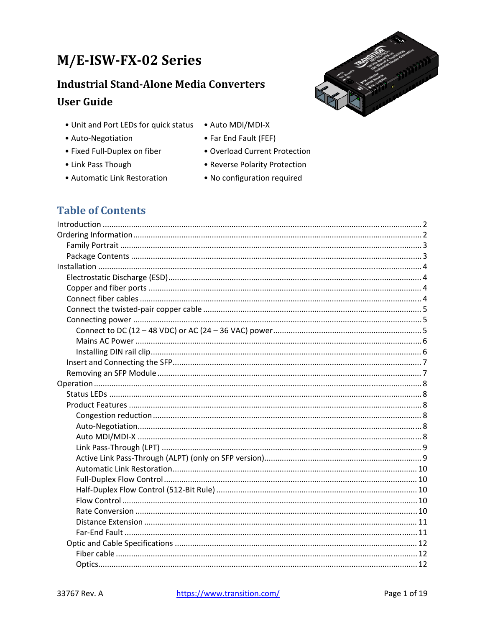# M/E-ISW-FX-02 Series

## **Industrial Stand-Alone Media Converters User Guide**

- Unit and Port LEDs for quick status Auto MDI/MDI-X
- Auto-Negotiation
- Fixed Full-Duplex on fiber
- Link Pass Though
- Automatic Link Restoration
- 
- Far End Fault (FEF)
- · Overload Current Protection
- Reverse Polarity Protection
- . No configuration required

## **Table of Contents**

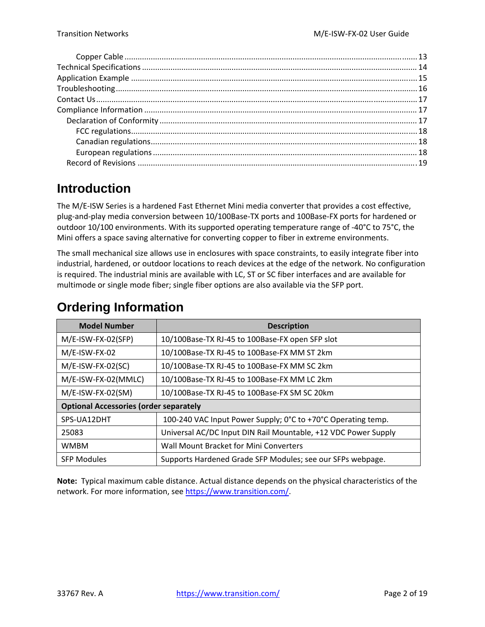# **Introduction**

The M/E‐ISW Series is a hardened Fast Ethernet Mini media converter that provides a cost effective, plug‐and‐play media conversion between 10/100Base‐TX ports and 100Base‐FX ports for hardened or outdoor 10/100 environments. With its supported operating temperature range of ‐40°C to 75°C, the Mini offers a space saving alternative for converting copper to fiber in extreme environments.

The small mechanical size allows use in enclosures with space constraints, to easily integrate fiber into industrial, hardened, or outdoor locations to reach devices at the edge of the network. No configuration is required. The industrial minis are available with LC, ST or SC fiber interfaces and are available for multimode or single mode fiber; single fiber options are also available via the SFP port.

| <b>Model Number</b>                           | <b>Description</b>                                             |  |
|-----------------------------------------------|----------------------------------------------------------------|--|
| $M/E$ -ISW-FX-02(SFP)                         | 10/100Base-TX RJ-45 to 100Base-FX open SFP slot                |  |
| M/E-ISW-FX-02                                 | 10/100Base-TX RJ-45 to 100Base-FX MM ST 2km                    |  |
| $M/E$ -ISW-FX-02(SC)                          | 10/100Base-TX RJ-45 to 100Base-FX MM SC 2km                    |  |
| M/E-ISW-FX-02(MMLC)                           | 10/100Base-TX RJ-45 to 100Base-FX MM LC 2km                    |  |
| $M/E$ -ISW-FX-02(SM)                          | 10/100Base-TX RJ-45 to 100Base-FX SM SC 20km                   |  |
| <b>Optional Accessories (order separately</b> |                                                                |  |
| SPS-UA12DHT                                   | 100-240 VAC Input Power Supply; 0°C to +70°C Operating temp.   |  |
| 25083                                         | Universal AC/DC Input DIN Rail Mountable, +12 VDC Power Supply |  |
| <b>WMBM</b>                                   | Wall Mount Bracket for Mini Converters                         |  |
| <b>SFP Modules</b>                            | Supports Hardened Grade SFP Modules; see our SFPs webpage.     |  |

# **Ordering Information**

**Note:** Typical maximum cable distance. Actual distance depends on the physical characteristics of the network. For more information, see https://www.transition.com/.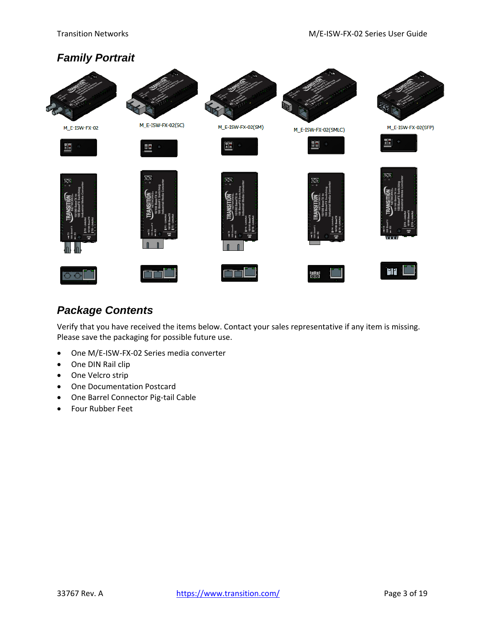## *Family Portrait*



## *Package Contents*

Verify that you have received the items below. Contact your sales representative if any item is missing. Please save the packaging for possible future use.

- One M/E-ISW-FX-02 Series media converter
- One DIN Rail clip
- One Velcro strip
- One Documentation Postcard
- One Barrel Connector Pig-tail Cable
- Four Rubber Feet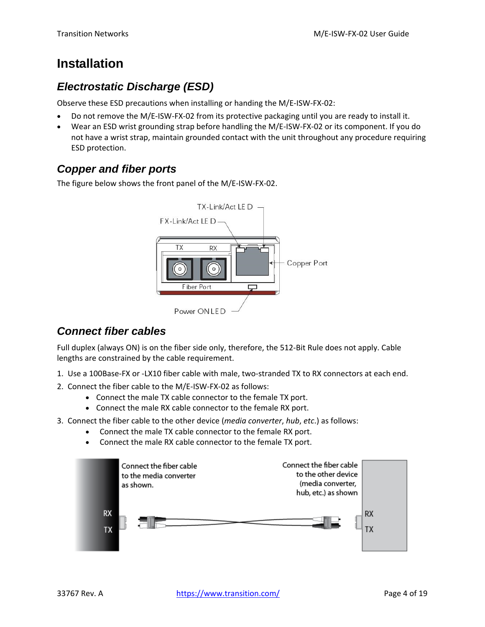# **Installation**

## *Electrostatic Discharge (ESD)*

Observe these ESD precautions when installing or handing the M/E‐ISW‐FX‐02:

- Do not remove the M/E-ISW-FX-02 from its protective packaging until you are ready to install it.
- Wear an ESD wrist grounding strap before handling the M/E-ISW-FX-02 or its component. If you do not have a wrist strap, maintain grounded contact with the unit throughout any procedure requiring ESD protection.

## *Copper and fiber ports*

The figure below shows the front panel of the M/E‐ISW‐FX‐02.



## *Connect fiber cables*

Full duplex (always ON) is on the fiber side only, therefore, the 512‐Bit Rule does not apply. Cable lengths are constrained by the cable requirement.

- 1. Use a 100Base‐FX or ‐LX10 fiber cable with male, two‐stranded TX to RX connectors at each end.
- 2. Connect the fiber cable to the M/E‐ISW‐FX‐02 as follows:
	- Connect the male TX cable connector to the female TX port.
	- Connect the male RX cable connector to the female RX port.
- 3. Connect the fiber cable to the other device (*media converter*, *hub*, *etc*.) as follows:
	- Connect the male TX cable connector to the female RX port.
	- Connect the male RX cable connector to the female TX port.

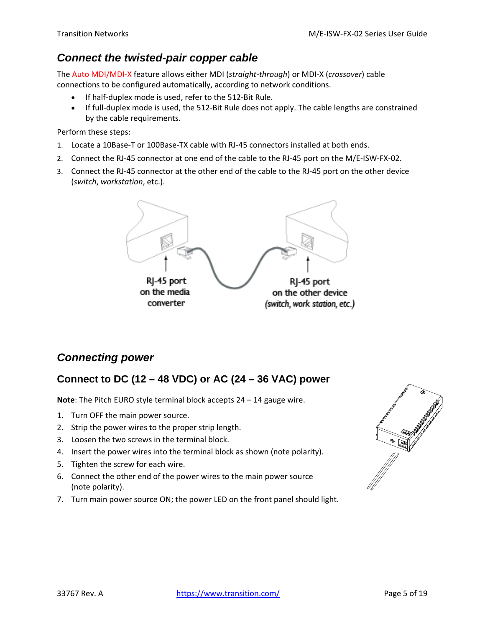## *Connect the twisted-pair copper cable*

The Auto MDI/MDI‐X feature allows either MDI (*straight‐through*) or MDI‐X (*crossover*) cable connections to be configured automatically, according to network conditions.

- If half-duplex mode is used, refer to the 512-Bit Rule.
- If full-duplex mode is used, the 512-Bit Rule does not apply. The cable lengths are constrained by the cable requirements.

Perform these steps:

- 1. Locate a 10Base‐T or 100Base‐TX cable with RJ‐45 connectors installed at both ends.
- 2. Connect the RJ-45 connector at one end of the cable to the RJ-45 port on the M/E-ISW-FX-02.
- 3. Connect the RJ‐45 connector at the other end of the cable to the RJ‐45 port on the other device (*switch*, *workstation*, etc.).



### *Connecting power*

## **Connect to DC (12 – 48 VDC) or AC (24 – 36 VAC) power**

**Note**: The Pitch EURO style terminal block accepts 24 – 14 gauge wire.

- 1. Turn OFF the main power source.
- 2. Strip the power wires to the proper strip length.
- 3. Loosen the two screws in the terminal block.
- 4. Insert the power wires into the terminal block as shown (note polarity).
- 5. Tighten the screw for each wire.
- 6. Connect the other end of the power wires to the main power source (note polarity).
- 7. Turn main power source ON; the power LED on the front panel should light.

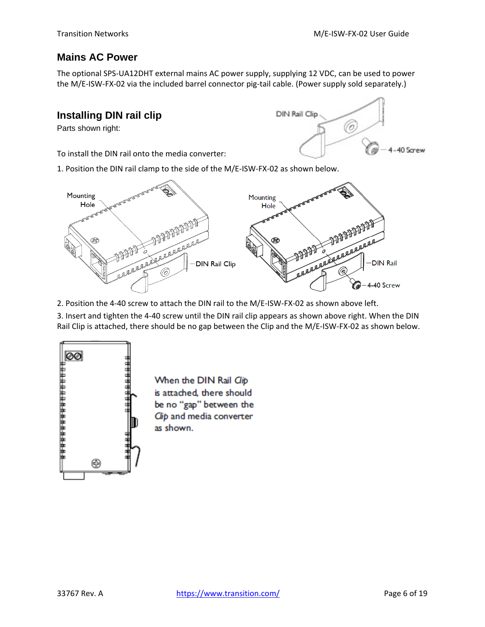### **Mains AC Power**

The optional SPS‐UA12DHT external mains AC power supply, supplying 12 VDC, can be used to power the M/E-ISW-FX-02 via the included barrel connector pig-tail cable. (Power supply sold separately.)

#### **Installing DIN rail clip**

Parts shown right:

To install the DIN rail onto the media converter:



1. Position the DIN rail clamp to the side of the M/E‐ISW‐FX‐02 as shown below.



2. Position the 4-40 screw to attach the DIN rail to the M/E-ISW-FX-02 as shown above left.

3. Insert and tighten the 4‐40 screw until the DIN rail clip appears as shown above right. When the DIN Rail Clip is attached, there should be no gap between the Clip and the M/E-ISW-FX-02 as shown below.



When the DIN Rail Clip is attached, there should be no "gap" between the Clip and media converter as shown.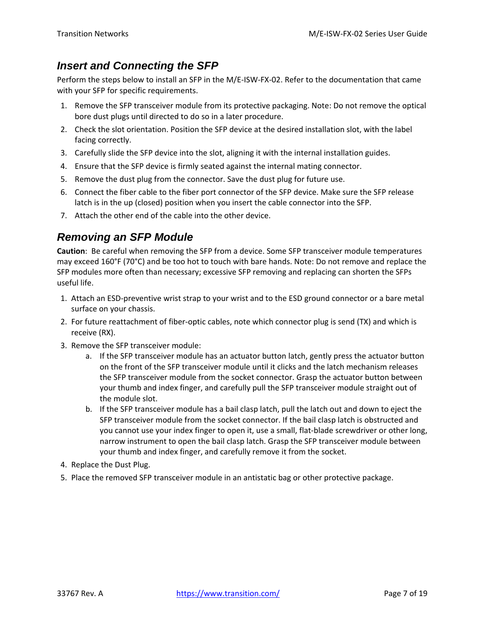## *Insert and Connecting the SFP*

Perform the steps below to install an SFP in the M/E‐ISW‐FX‐02. Refer to the documentation that came with your SFP for specific requirements.

- 1. Remove the SFP transceiver module from its protective packaging. Note: Do not remove the optical bore dust plugs until directed to do so in a later procedure.
- 2. Check the slot orientation. Position the SFP device at the desired installation slot, with the label facing correctly.
- 3. Carefully slide the SFP device into the slot, aligning it with the internal installation guides.
- 4. Ensure that the SFP device is firmly seated against the internal mating connector.
- 5. Remove the dust plug from the connector. Save the dust plug for future use.
- 6. Connect the fiber cable to the fiber port connector of the SFP device. Make sure the SFP release latch is in the up (closed) position when you insert the cable connector into the SFP.
- 7. Attach the other end of the cable into the other device.

## *Removing an SFP Module*

**Caution**: Be careful when removing the SFP from a device. Some SFP transceiver module temperatures may exceed 160°F (70°C) and be too hot to touch with bare hands. Note: Do not remove and replace the SFP modules more often than necessary; excessive SFP removing and replacing can shorten the SFPs useful life.

- 1. Attach an ESD‐preventive wrist strap to your wrist and to the ESD ground connector or a bare metal surface on your chassis.
- 2. For future reattachment of fiber-optic cables, note which connector plug is send (TX) and which is receive (RX).
- 3. Remove the SFP transceiver module:
	- a. If the SFP transceiver module has an actuator button latch, gently press the actuator button on the front of the SFP transceiver module until it clicks and the latch mechanism releases the SFP transceiver module from the socket connector. Grasp the actuator button between your thumb and index finger, and carefully pull the SFP transceiver module straight out of the module slot.
	- b. If the SFP transceiver module has a bail clasp latch, pull the latch out and down to eject the SFP transceiver module from the socket connector. If the bail clasp latch is obstructed and you cannot use your index finger to open it, use a small, flat-blade screwdriver or other long, narrow instrument to open the bail clasp latch. Grasp the SFP transceiver module between your thumb and index finger, and carefully remove it from the socket.
- 4. Replace the Dust Plug.
- 5. Place the removed SFP transceiver module in an antistatic bag or other protective package.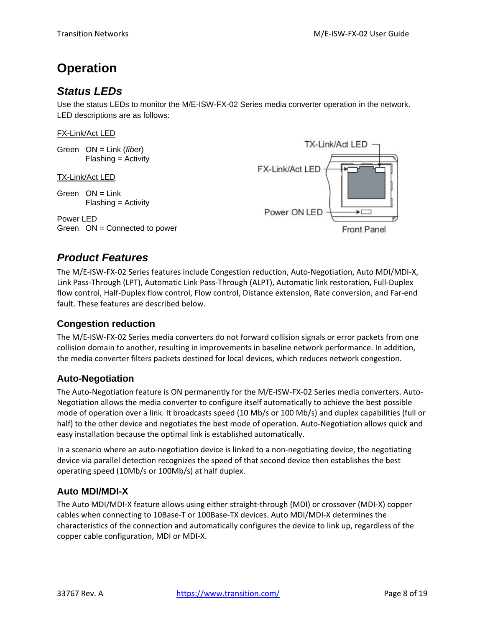# **Operation**

## *Status LEDs*

Use the status LEDs to monitor the M/E-ISW-FX-02 Series media converter operation in the network. LED descriptions are as follows:

#### FX-Link/Act LED

Green ON = Link (*fiber*) Flashing = Activity

#### TX-Link/Act LED

Green ON = Link Flashing = Activity

Power LED Green ON = Connected to power



## *Product Features*

The M/E‐ISW‐FX‐02 Series features include Congestion reduction, Auto‐Negotiation, Auto MDI/MDI‐X, Link Pass‐Through (LPT), Automatic Link Pass‐Through (ALPT), Automatic link restoration, Full‐Duplex flow control, Half‐Duplex flow control, Flow control, Distance extension, Rate conversion, and Far‐end fault. These features are described below.

#### **Congestion reduction**

The M/E‐ISW‐FX‐02 Series media converters do not forward collision signals or error packets from one collision domain to another, resulting in improvements in baseline network performance. In addition, the media converter filters packets destined for local devices, which reduces network congestion.

#### **Auto-Negotiation**

The Auto-Negotiation feature is ON permanently for the M/E-ISW-FX-02 Series media converters. Auto-Negotiation allows the media converter to configure itself automatically to achieve the best possible mode of operation over a link. It broadcasts speed (10 Mb/s or 100 Mb/s) and duplex capabilities (full or half) to the other device and negotiates the best mode of operation. Auto-Negotiation allows quick and easy installation because the optimal link is established automatically.

In a scenario where an auto-negotiation device is linked to a non-negotiating device, the negotiating device via parallel detection recognizes the speed of that second device then establishes the best operating speed (10Mb/s or 100Mb/s) at half duplex.

### **Auto MDI/MDI-X**

The Auto MDI/MDI‐X feature allows using either straight‐through (MDI) or crossover (MDI‐X) copper cables when connecting to 10Base‐T or 100Base‐TX devices. Auto MDI/MDI‐X determines the characteristics of the connection and automatically configures the device to link up, regardless of the copper cable configuration, MDI or MDI‐X.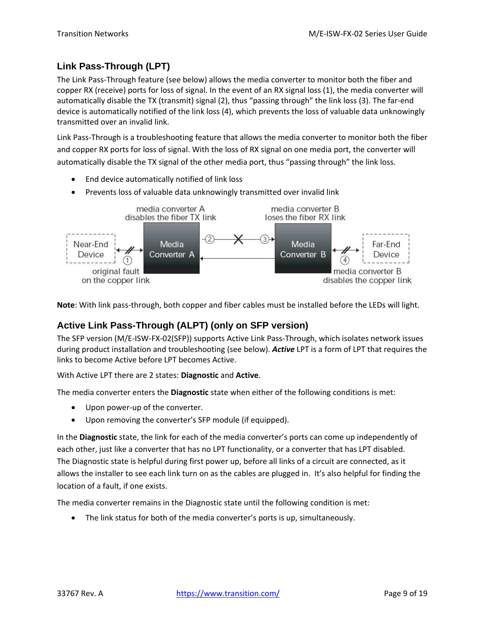### **Link Pass-Through (LPT)**

The Link Pass‐Through feature (see below) allows the media converter to monitor both the fiber and copper RX (receive) ports for loss of signal. In the event of an RX signal loss (1), the media converter will automatically disable the TX (transmit) signal (2), thus "passing through" the link loss (3). The far-end device is automatically notified of the link loss (4), which prevents the loss of valuable data unknowingly transmitted over an invalid link.

Link Pass‐Through is a troubleshooting feature that allows the media converter to monitor both the fiber and copper RX ports for loss of signal. With the loss of RX signal on one media port, the converter will automatically disable the TX signal of the other media port, thus "passing through" the link loss.

- End device automatically notified of link loss
- Prevents loss of valuable data unknowingly transmitted over invalid link



**Note**: With link pass‐through, both copper and fiber cables must be installed before the LEDs will light.

### **Active Link Pass-Through (ALPT) (only on SFP version)**

The SFP version (M/E‐ISW‐FX‐02(SFP)) supports Active Link Pass‐Through, which isolates network issues during product installation and troubleshooting (see below). *Active* LPT is a form of LPT that requires the links to become Active before LPT becomes Active.

With Active LPT there are 2 states: **Diagnostic** and **Active**.

The media converter enters the **Diagnostic** state when either of the following conditions is met:

- Upon power-up of the converter.
- Upon removing the converter's SFP module (if equipped).

In the **Diagnostic** state, the link for each of the media converter's ports can come up independently of each other, just like a converter that has no LPT functionality, or a converter that has LPT disabled. The Diagnostic state is helpful during first power up, before all links of a circuit are connected, as it allows the installer to see each link turn on as the cables are plugged in. It's also helpful for finding the location of a fault, if one exists.

The media converter remains in the Diagnostic state until the following condition is met:

The link status for both of the media converter's ports is up, simultaneously.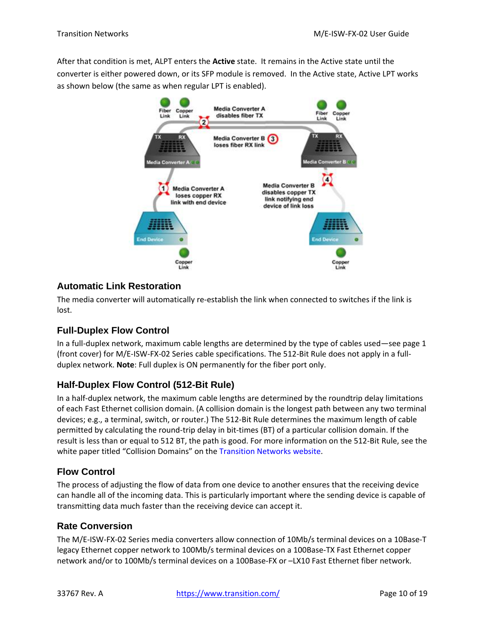After that condition is met, ALPT enters the **Active** state. It remains in the Active state until the converter is either powered down, or its SFP module is removed. In the Active state, Active LPT works as shown below (the same as when regular LPT is enabled).



#### **Automatic Link Restoration**

The media converter will automatically re‐establish the link when connected to switches if the link is lost.

#### **Full-Duplex Flow Control**

In a full‐duplex network, maximum cable lengths are determined by the type of cables used—see page 1 (front cover) for M/E‐ISW‐FX‐02 Series cable specifications. The 512‐Bit Rule does not apply in a full‐ duplex network. **Note**: Full duplex is ON permanently for the fiber port only.

### **Half-Duplex Flow Control (512-Bit Rule)**

In a half‐duplex network, the maximum cable lengths are determined by the roundtrip delay limitations of each Fast Ethernet collision domain. (A collision domain is the longest path between any two terminal devices; e.g., a terminal, switch, or router.) The 512‐Bit Rule determines the maximum length of cable permitted by calculating the round‐trip delay in bit‐times (BT) of a particular collision domain. If the result is less than or equal to 512 BT, the path is good. For more information on the 512‐Bit Rule, see the white paper titled "Collision Domains" on the Transition Networks website.

#### **Flow Control**

The process of adjusting the flow of data from one device to another ensures that the receiving device can handle all of the incoming data. This is particularly important where the sending device is capable of transmitting data much faster than the receiving device can accept it.

#### **Rate Conversion**

The M/E‐ISW‐FX‐02 Series media converters allow connection of 10Mb/s terminal devices on a 10Base‐T legacy Ethernet copper network to 100Mb/s terminal devices on a 100Base-TX Fast Ethernet copper network and/or to 100Mb/s terminal devices on a 100Base-FX or -LX10 Fast Ethernet fiber network.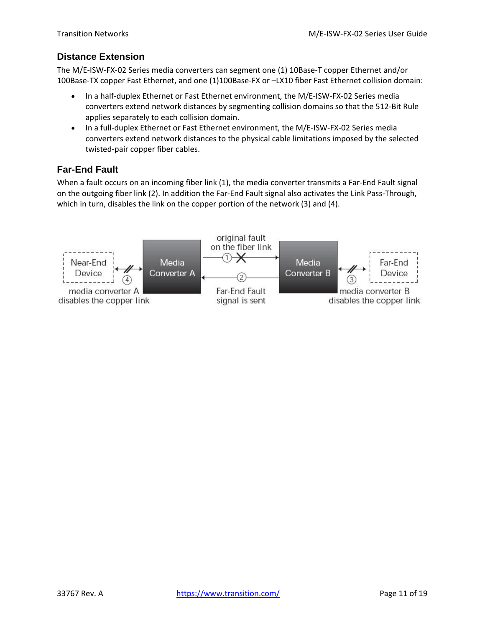### **Distance Extension**

The M/E‐ISW‐FX‐02 Series media converters can segment one (1) 10Base‐T copper Ethernet and/or 100Base‐TX copper Fast Ethernet, and one (1)100Base‐FX or –LX10 fiber Fast Ethernet collision domain:

- In a half-duplex Ethernet or Fast Ethernet environment, the M/E-ISW-FX-02 Series media converters extend network distances by segmenting collision domains so that the 512‐Bit Rule applies separately to each collision domain.
- In a full-duplex Ethernet or Fast Ethernet environment, the M/E-ISW-FX-02 Series media converters extend network distances to the physical cable limitations imposed by the selected twisted‐pair copper fiber cables.

### **Far-End Fault**

When a fault occurs on an incoming fiber link (1), the media converter transmits a Far-End Fault signal on the outgoing fiber link (2). In addition the Far-End Fault signal also activates the Link Pass-Through, which in turn, disables the link on the copper portion of the network (3) and (4).

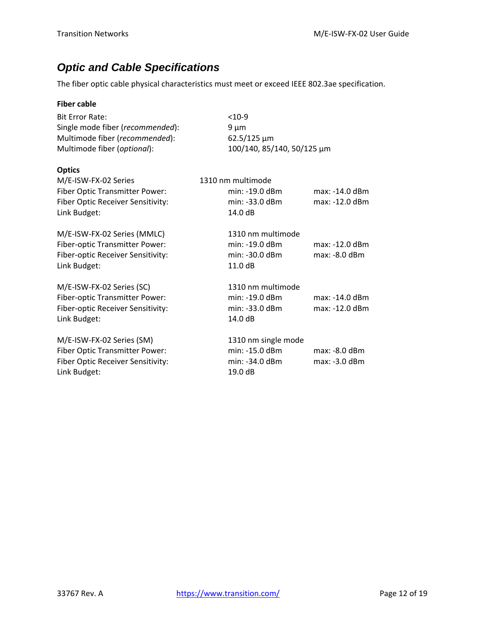## *Optic and Cable Specifications*

The fiber optic cable physical characteristics must meet or exceed IEEE 802.3ae specification.

| <b>Fiber cable</b>                                                                                                           |                                                                         |                                  |
|------------------------------------------------------------------------------------------------------------------------------|-------------------------------------------------------------------------|----------------------------------|
| <b>Bit Error Rate:</b><br>Single mode fiber (recommended):<br>Multimode fiber (recommended):<br>Multimode fiber (optional):  | $< 10-9$<br>$9 \mu m$<br>$62.5/125 \mu m$<br>100/140, 85/140, 50/125 µm |                                  |
| <b>Optics</b><br>M/E-ISW-FX-02 Series<br>Fiber Optic Transmitter Power:<br>Fiber Optic Receiver Sensitivity:<br>Link Budget: | 1310 nm multimode<br>$min: -19.0$ dBm<br>min: -33.0 dBm<br>14.0 dB      | max: -14.0 dBm<br>max: -12.0 dBm |
| M/E-ISW-FX-02 Series (MMLC)<br>Fiber-optic Transmitter Power:<br>Fiber-optic Receiver Sensitivity:<br>Link Budget:           | 1310 nm multimode<br>min: -19.0 dBm<br>min: -30.0 dBm<br>11.0 dB        | max: -12.0 dBm<br>max: -8.0 dBm  |
| M/E-ISW-FX-02 Series (SC)<br>Fiber-optic Transmitter Power:<br>Fiber-optic Receiver Sensitivity:<br>Link Budget:             | 1310 nm multimode<br>$min: -19.0$ dBm<br>min: -33.0 dBm<br>14.0 dB      | max: -14.0 dBm<br>max: -12.0 dBm |
| M/E-ISW-FX-02 Series (SM)<br>Fiber Optic Transmitter Power:<br>Fiber Optic Receiver Sensitivity:<br>Link Budget:             | 1310 nm single mode<br>min: -15.0 dBm<br>min: -34.0 dBm<br>19.0 dB      | $max: -8.0$ dBm<br>max: -3.0 dBm |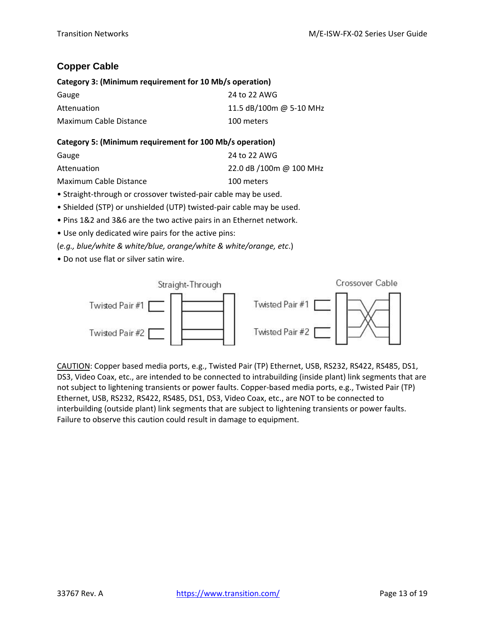### **Copper Cable**

#### **Category 3: (Minimum requirement for 10 Mb/s operation)**

| Gauge                  | 24 to 22 AWG            |
|------------------------|-------------------------|
| Attenuation            | 11.5 dB/100m @ 5-10 MHz |
| Maximum Cable Distance | 100 meters              |

#### **Category 5: (Minimum requirement for 100 Mb/s operation)**

| Gauge                  | 24 to 22 AWG            |
|------------------------|-------------------------|
| Attenuation            | 22.0 dB /100m @ 100 MHz |
| Maximum Cable Distance | 100 meters              |
|                        |                         |

• Straight-through or crossover twisted-pair cable may be used.

- Shielded (STP) or unshielded (UTP) twisted‐pair cable may be used.
- Pins 1&2 and 3&6 are the two active pairs in an Ethernet network.
- Use only dedicated wire pairs for the active pins:
- (*e.g., blue/white & white/blue, orange/white & white/orange, etc*.)
- Do not use flat or silver satin wire.



CAUTION: Copper based media ports, e.g., Twisted Pair (TP) Ethernet, USB, RS232, RS422, RS485, DS1, DS3, Video Coax, etc., are intended to be connected to intrabuilding (inside plant) link segments that are not subject to lightening transients or power faults. Copper‐based media ports, e.g., Twisted Pair (TP) Ethernet, USB, RS232, RS422, RS485, DS1, DS3, Video Coax, etc., are NOT to be connected to interbuilding (outside plant) link segments that are subject to lightening transients or power faults. Failure to observe this caution could result in damage to equipment.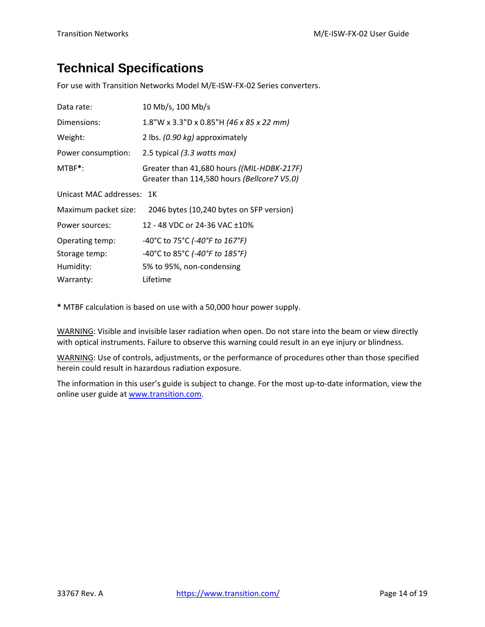# **Technical Specifications**

For use with Transition Networks Model M/E‐ISW‐FX‐02 Series converters.

| Data rate:                | 10 Mb/s, 100 Mb/s                                                                         |  |
|---------------------------|-------------------------------------------------------------------------------------------|--|
| Dimensions:               | 1.8"W x 3.3"D x 0.85"H (46 x 85 x 22 mm)                                                  |  |
| Weight:                   | 2 lbs. (0.90 kg) approximately                                                            |  |
| Power consumption:        | 2.5 typical (3.3 watts max)                                                               |  |
| $MTBF^*$ :                | Greater than 41,680 hours ((MIL-HDBK-217F)<br>Greater than 114,580 hours (Bellcore7 V5.0) |  |
| Unicast MAC addresses: 1K |                                                                                           |  |
| Maximum packet size:      | 2046 bytes (10,240 bytes on SFP version)                                                  |  |
| Power sources:            | 12 - 48 VDC or 24-36 VAC ±10%                                                             |  |
| Operating temp:           | -40°C to 75°C (-40°F to 167°F)                                                            |  |
| Storage temp:             | -40°C to 85°C (-40°F to 185°F)                                                            |  |
| Humidity:                 | 5% to 95%, non-condensing                                                                 |  |
| Warranty:                 | Lifetime                                                                                  |  |

**\*** MTBF calculation is based on use with a 50,000 hour power supply.

WARNING: Visible and invisible laser radiation when open. Do not stare into the beam or view directly with optical instruments. Failure to observe this warning could result in an eye injury or blindness.

WARNING: Use of controls, adjustments, or the performance of procedures other than those specified herein could result in hazardous radiation exposure.

The information in this user's guide is subject to change. For the most up-to-date information, view the online user guide at www.transition.com.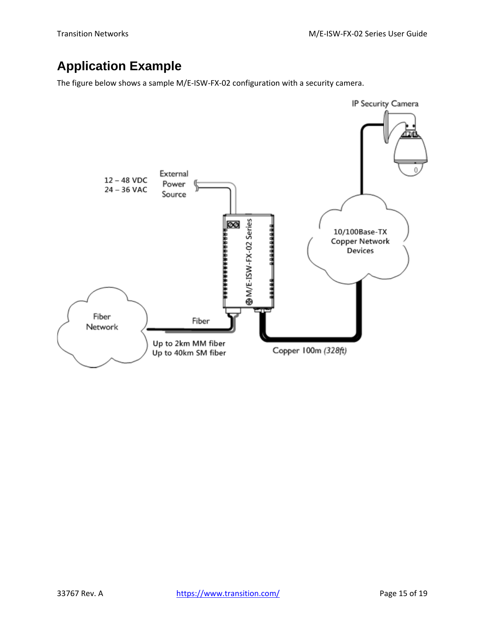# **Application Example**

The figure below shows a sample M/E‐ISW‐FX‐02 configuration with a security camera.

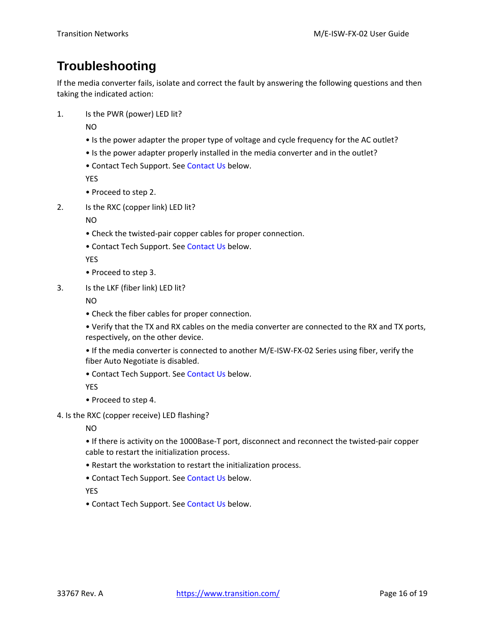# **Troubleshooting**

If the media converter fails, isolate and correct the fault by answering the following questions and then taking the indicated action:

1. Is the PWR (power) LED lit?

NO

- Is the power adapter the proper type of voltage and cycle frequency for the AC outlet?
- Is the power adapter properly installed in the media converter and in the outlet?
- Contact Tech Support. See Contact Us below.

YES

- Proceed to step 2.
- 2. Is the RXC (copper link) LED lit?

NO

- Check the twisted‐pair copper cables for proper connection.
- Contact Tech Support. See Contact Us below.

YES

- Proceed to step 3.
- 3. Is the LKF (fiber link) LED lit?

NO

- Check the fiber cables for proper connection.
- Verify that the TX and RX cables on the media converter are connected to the RX and TX ports, respectively, on the other device.
- If the media converter is connected to another M/E‐ISW‐FX‐02 Series using fiber, verify the fiber Auto Negotiate is disabled.
- Contact Tech Support. See Contact Us below.

YES

- Proceed to step 4.
- 4. Is the RXC (copper receive) LED flashing?

NO

• If there is activity on the 1000Base-T port, disconnect and reconnect the twisted-pair copper cable to restart the initialization process.

- Restart the workstation to restart the initialization process.
- Contact Tech Support. See Contact Us below.

YES

• Contact Tech Support. See Contact Us below.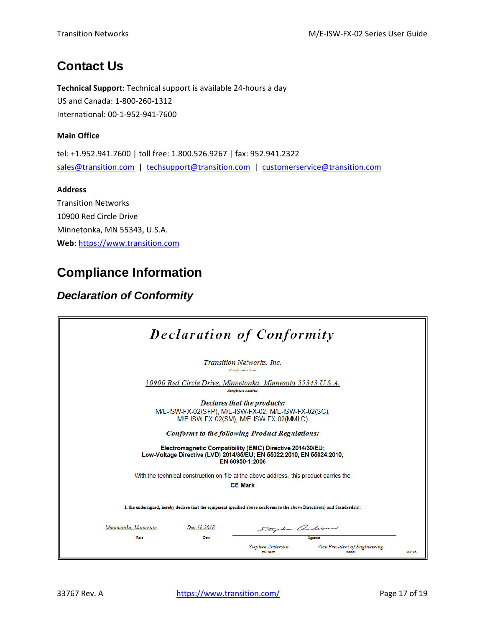## **Contact Us**

**Technical Support**: Technical support is available 24‐hours a day US and Canada: 1‐800‐260‐1312 International: 00‐1‐952‐941‐7600

#### **Main Office**

tel: +1.952.941.7600 | toll free: 1.800.526.9267 | fax: 952.941.2322 sales@transition.com | techsupport@transition.com | customerservice@transition.com

#### **Address**

Transition Networks 10900 Red Circle Drive Minnetonka, MN 55343, U.S.A. **Web**: https://www.transition.com

# **Compliance Information**

## *Declaration of Conformity*

|                                                       | <b>Declaration of Conformity</b>                                                                                                                      |
|-------------------------------------------------------|-------------------------------------------------------------------------------------------------------------------------------------------------------|
|                                                       | Transition Networks, Inc.<br>Manufacture's Name                                                                                                       |
|                                                       | 10900 Red Circle Drive, Minnetonka, Minnesota 55343 U.S.A.<br>Manufacture's Address                                                                   |
|                                                       | Declares that the products:<br>M/E-ISW-FX-02(SFP), M/E-ISW-FX-02, M/E-ISW-FX-02(SC),<br>M/E-ISW-FX-02(SM), M/E-ISW-FX-02(MMLC)                        |
|                                                       | <b>Conforms to the following Product Regulations:</b>                                                                                                 |
|                                                       | Electromagnetic Compatibility (EMC) Directive 2014/30/EU;<br>Low-Voltage Directive (LVD) 2014/35/EU; EN 55022:2010, EN 55024:2010,<br>EN 60950-1:2006 |
|                                                       | With the technical construction on file at the above address, this product carries the<br><b>CE Mark</b>                                              |
|                                                       | I, the undersigned, hereby declare that the equipment specified above conforms to the above Directive(s) and Standards(s).                            |
| Minnetonka, Minnesota<br>Dec 18.2018<br>Place<br>Date | Stephen anderson<br>Senature                                                                                                                          |
|                                                       | Stephen Anderson<br>Vice President of Engineering<br>Full Name<br>28141B<br>Position                                                                  |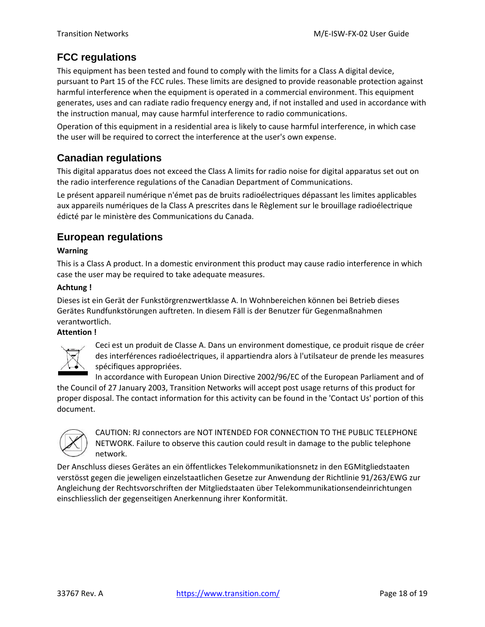## **FCC regulations**

This equipment has been tested and found to comply with the limits for a Class A digital device, pursuant to Part 15 of the FCC rules. These limits are designed to provide reasonable protection against harmful interference when the equipment is operated in a commercial environment. This equipment generates, uses and can radiate radio frequency energy and, if not installed and used in accordance with the instruction manual, may cause harmful interference to radio communications.

Operation of this equipment in a residential area is likely to cause harmful interference, in which case the user will be required to correct the interference at the user's own expense.

### **Canadian regulations**

This digital apparatus does not exceed the Class A limits for radio noise for digital apparatus set out on the radio interference regulations of the Canadian Department of Communications.

Le présent appareil numérique n'émet pas de bruits radioélectriques dépassant les limites applicables aux appareils numériques de la Class A prescrites dans le Règlement sur le brouillage radioélectrique édicté par le ministère des Communications du Canada.

### **European regulations**

#### **Warning**

This is a Class A product. In a domestic environment this product may cause radio interference in which case the user may be required to take adequate measures.

#### **Achtung !**

Dieses ist ein Gerät der Funkstörgrenzwertklasse A. In Wohnbereichen können bei Betrieb dieses Gerätes Rundfunkstörungen auftreten. In diesem Fäll is der Benutzer für Gegenmaßnahmen verantwortlich.

#### **Attention !**



Ceci est un produit de Classe A. Dans un environment domestique, ce produit risque de créer des interférences radioélectriques, il appartiendra alors à l'utilsateur de prende les measures spécifiques appropriées.

In accordance with European Union Directive 2002/96/EC of the European Parliament and of the Council of 27 January 2003, Transition Networks will accept post usage returns of this product for proper disposal. The contact information for this activity can be found in the 'Contact Us' portion of this document.



CAUTION: RJ connectors are NOT INTENDED FOR CONNECTION TO THE PUBLIC TELEPHONE NETWORK. Failure to observe this caution could result in damage to the public telephone network.

Der Anschluss dieses Gerätes an ein öffentlickes Telekommunikationsnetz in den EGMitgliedstaaten verstösst gegen die jeweligen einzelstaatlichen Gesetze zur Anwendung der Richtlinie 91/263/EWG zur Angleichung der Rechtsvorschriften der Mitgliedstaaten über Telekommunikationsendeinrichtungen einschliesslich der gegenseitigen Anerkennung ihrer Konformität.